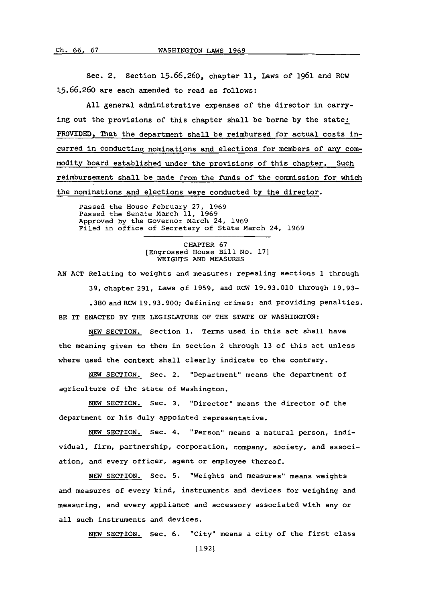Sec. 2. Section **15.66.260,** chapter **11,** Laws of **1961** and RCW **15.66.260** are each amended to read as follows:

**All** general administrative expenses of the director in carrying out the provisions of this chapter shall be borne **by** the state: PROVIDED, That the department shall be reimbursed for actual costs incurred in conducting nominations and elections for members of any commodity board established under the provisions of this chapter. Such reimbursement shall be made from the funds of the commission for which the nominations and elections were conducted **by** the director.

Passed the House February **27, 1969** Passed the Senate March **11, 1969** Approved **by** the Governor March 24, **1969** Filed in office of Secretary of State March 24, **1969**

> CHAPTER **67** [Engrossed House Bill **No. 17]** WEIGHTS **AND MEASURES**

**AN ACT** Relating to weights and measures; repealing sections **1** through **39,** chapter **291,** Laws of **1959,** and RCW **19.93.010** through **19.93-** .380 and RCW 19.93.900; defining crimes; and providing penalties. BE IT **ENACTED** BY **THE** LEGISLATURE OF THE **STATE** OF WASHINGTON:

**NEW** SECTION. Section **1.** Terms used in this act shall have the meaning given to then in section 2 through **13** of this act unless where used the context shall clearly indicate to the contrary.

**NEW SECTION.** Sec. 2. "Department" means the department of agriculture of the state of Washington.

**NEW** SECTION. Sec. **3.** "Director" means the director of the department or his duly appointed representative.

**NEW** SECTION. Sec. 4. "Person" means a natural person, individual, firm, partnership, corporation, company, society, and association, and every officer, agent or employee thereof.

**NEW SECTION.** Sec. **5.** "Weights and measures" means weights and measures of every kind, instruments and devices for weighing and measuring, and every appliance and accessory associated with any or all such instruments and devices.

**NEW SECTION.** Sec. **6.** "City" means a city of the first class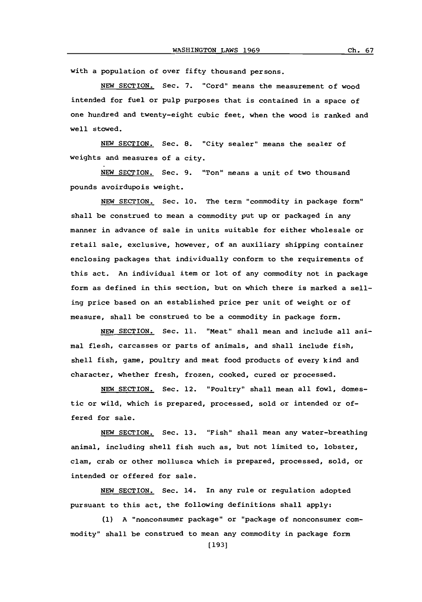with a population of over fifty thousand persons.

**NEW** SECTION. Sec. **7.** "Cord" means the measurement of wood intended for fuel or pulp purposes that is contained in a space of one hundred and twenty-eight cubic feet, when the wood is ranked and well stowed.

**NEW** SECTION. Sec. **8.** "City sealer" means the sealer of weights and measures of a city.

**NEW** SECTION. Sec. **9.** "Ton" means a unit of two thousand pounds avoirdupois weight.

**NEW** SECTION. Sec. **10.** The term "commodity in package form" shall be construed to mean a commodity put up or packaged in any manner in advance of sale in units suitable for either wholesale or retail sale, exclusive, however, of an auxiliary shipping container enclosing packages that individually conform to the requirements of this act. An individual item or lot of any commodity not in package form as defined in this section, but on which there is marked a selling price based on an established price per unit of weight or of measure, shall be construed to be a commodity in package form.

**NEW** SECTION. Sec. **11.** "Meat" shall mean and include all animal flesh, carcasses or parts of animals, and shall include fish, shell fish, game, poultry and meat food products of every kind and character, whether fresh, frozen, cooked, cured or processed.

**NEW** SECTION. Sec. 12. "Poultry" shall mean all fowl, domestic or wild, which is prepared, processed, sold or intended or offered for sale.

**NEW** SECTION. Sec. **13.** "Fish" shall mean any water-breathing animal, including shell fish such as, but not limited to, lobster, clam, crab or other mollusca which is prepared, processed, sold, or intended or offered for sale.

**NEW** SECTION. Sec. 14. In any rule or regulation adopted pursuant to this act, the following definitions shall apply:

**(1) A** "nonconsumer package" or "package of nonconsumer commodity" shall be construed to mean any commodity in package form

**Ch. 67**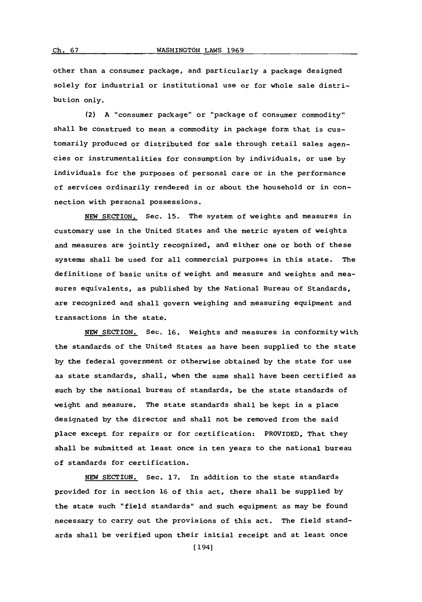other than a consumer package, and particularly a package designed solely for industrial or institutional use or for whole sale distribution only.

(2) **A** "consumer package" or "package of consumer commodity" shall be construed to mean a commodity in package form that is customarily produced or distributed for sale through retail sales agencies or instrumentalities for consumption **by** individuals, or use **by** individuals for the purposes of personal care or in the performance of services ordinarily rendered in or about the household or in connection with personal possessions.

**NEW** SECTION. Sec. **15.** The system of weights and measures in customary use in the United States and the metric system of weights and measures are jointly recognized, and either one or both of these systems shall be used for all commercial purposes in this state. The definitions of basic units of weight and measure and weights and measures equivalents, as published **by** the National Bureau of Standards, are recognized and shall govern weighing and measuring equipment and transactions in the state.

**NEW** SECTION. Sec. **16.** Weights and measures in conformity with the standards of the United States as have been supplied to the state **by** the federal government or otherwise obtained **by** the state for use as state standards, shall, when the same shall have been certified as such **by** the national bureau of standards, be the state standards of weight and measure. The state standards shall be kept in a place designated **by** the director and shall not be removed from the said place except for repairs or for certification: PROVIDED, That they shall be submitted at least once in ten years to the national bureau of standards for certification.

**NEW** SECTION. Sec. **17.** In addition to the state standards provided for in section **16** of this act, there shall be supplied **by** the state such "field standards" and such equipment as may be found necessary to carry out the provisions of this act. The field standards shall be verified upon their initial receipt and at least once

Ch. 67

[194]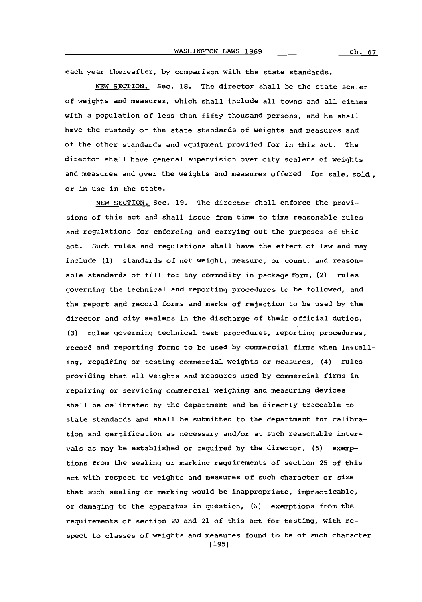each year thereafter, **by** comparison with the state standards.

**NEW** SECTION. Sec. **18.** The director shall be the state sealer of weights and measures, which shall include all towns and all cities with a population of less than fifty thousand persons, and he shall have the custody of the state standards of weights and measures and of the other standards and equipment provided for in this act. The director shall have general supervision over city sealers of weights and measures and over the weights and measures offered for sale, sold, or in use in the state.

**NEW** SECTION. Sec. **19.** The director shall enforce the provisions of this act and shall issue from time to time reasonable rules and regulations for enforcing and carrying out the purposes of this act. Such rules and regulations shall have the effect of law and may include **(1)** standards of net weight, measure, or count, and reasonable standards of fill for any commodity in package form, (2) rules governing the technical and reporting procedures to be followed, and the report and record forms and marks of rejection to be used **by** the director and city sealers in the discharge of their official duties, **(3)** rules governing technical test procedures, reporting procedures, record and reporting forms to be used **by** commercial firms when installing, repairing or testing commercial weights or measures, (4) rules providing that all weights and measures used **by** commercial firms in repairing or servicing commercial weighing and measuring devices shall be calibrated **by** the department and be directly traceable to state standards and shall be submitted to the department for calibration and certification as necessary and/or at such reasonable intervals as may be established or required **by** the director, **(5)** exemptions from the sealing or marking requirements of section **25** of this act with respect to weights and measures of such character or size that such sealing or marking would be inappropriate, impracticable, or damaging to the apparatus in question, **(6)** exemptions from the requirements of section 20 and 21 of this act for testing, with respect to classes of weights and measures found to be of such character **[1951**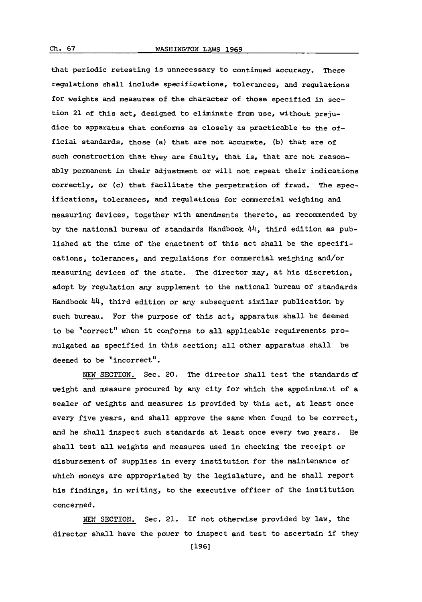that periodic retesting is unnecessary to continued accuracy. These regulations shall include specifications, tolerances, and regulations for weights and measures of the character of those specified in section 21 of this act, designed to eliminate from use, without prejudice to apparatus that conforms as closely as practicable to the official standards, those (a) that are not accurate, **(b)** that are of such construction that they are faulty, that is, that are not reasonably permanent in their adjustment or will not repeat their indications correctly, or (c) that facilitate the perpetration of fraud. The specifications, tolerances, and regulations for commercial weighing and measuring devices, together with amendments thereto, as recommended **by by** the national bureau of standards Handbook 44, third edition as published at the time of the enactment of this act shall be the specifications, tolerances, and regulations for commercial weighing and/or measuring devices of the state. The director may, at his discretion, adopt **by** regulation any supplement to the national bureau of standards Handbook 44, third edition or any subsequent similar publication **by** such bureau. For the purpose of this act, apparatus shall be deemed to be "correct" when it conforms to all applicable requirements promulgated as specified in this section; all other apparatus shall be deemed to be "incorrect".

**NEW** SECTION. Sec. 20. The director shall test the standards **df** weight and measure procured **by** any city for which the appointme;at of a sealer of weights and measures is provided **by** this act, at least once every five years, and shall approve the sane when found to be correct, and he shall inspect such standards at least once every two years. He shall test all weights and measures used in checking the receipt or disbursement of supplies in every institution for the maintenance of which moneys are appropriated **by** the legislature, and he shall report his findings, in writing, to the executive officer of the institution concerned.

MEY SECTION. Sec. 21. If not otherwise provided **by** law, the director shall have the power to inspect and test to ascertain if they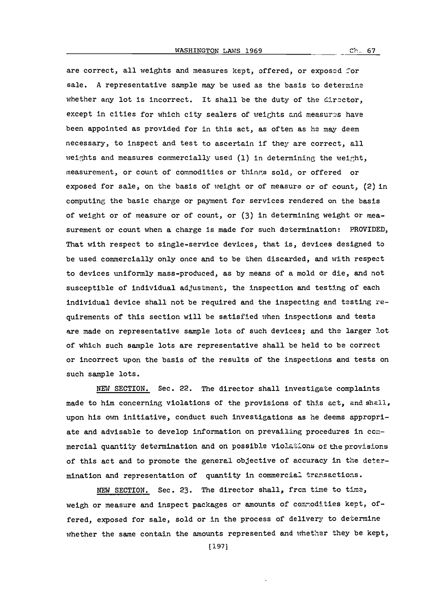are correct, all weights and measures kept, offered, or exposed for sale. A representative sample may be used as the basis to determine whether any lot is incorrect. It shall be the duty of the director, except in cities for which city sealers of weights and measures have been appointed as provided for in this act, as often as he may deem necessary, to inspect and test to ascertain if they are correct, all weights and measures commercially used **(1)** in determining the weight, measurement, or count of commodities or thinfs sold, or offered or exposed for sale, on the basis of weight or of measure or of count, (2) in computing the basic charge or payment for services rendered on the basis of weight or of measure or of count, or **(3)** in determining weight or measurement or count when a charge is made for such determination: PROVIDED, That with respect to single-service devices, that is, devices designed to be used commercially only once and to be then discarded, and With respect to devices uniformly mass-produced, as **by** means of a mold or die, and not susceptible of individual adjustment, the inspection and testing of each individual device shall not be required and the inspecting and testing requirements of this section will be satisfied when inspections and tests are made on representative sample lots of such devices; and the larger lot of which such sample lots are representative shall be held to be correct or incorrect upon the basis of the results of the inspections and tests on such sample lots.

NEW SECTION. Sec. 22. The director shall investigate complaints made to him concerning violations of the provisions of this act, and shall, upon his own initiative, conduct such investigations as he deems appropriate and advisable to develop information on prevailing procedures in commercial quantity determination and on possible violations of the provisions of this act and to promote the general objective of accuracy in the determination and representation of quantity in commercial transactions.

NEW SECTION. Sec. 23. The director shall, from time to time, weigh or measure and inspect packages or amounts of commodities kept, offered, exposed for sale, sold or in the process of delivery to determine whether the same contain the amounts represented and whether they be kept,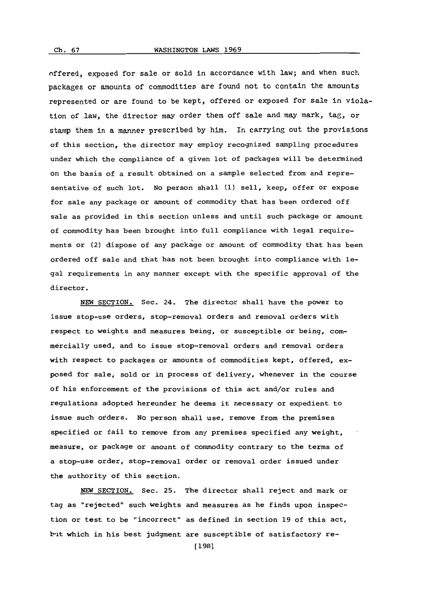offered, exposed for sale or sold in accordance with law; and when such packages or amounts of commodities are found not to contain the amounts represented or are found to be kept, offered or exposed for sale in violation of law, the director may order them off sale and may mark, tag, or stamp them in a manner prescribed **by** him. In carrying out the provisions of this section, the director may employ recognized sampling procedures under which the compliance of a given lot of packages will be determined on the basis of a result obtained on a sample selected from and representative of such lot. No person shall **(1)** sell, keep, offer or expose for sale any package or amount of commodity that has been ordered off sale as provided in this section unless and until such package or amount of commodity has been brought into full compliance with legal requirements or (2) dispose of any package or amount of commodity that has been ordered off sale and that has not been brought into compliance with legal requirements in any manner except with the specific approval **of** the director.

**NEW** SECTION. Sec. 24. The director shall have the power to issue stop-use orders, stop-removal orders and removal orders with respect to weights and measures being, or susceptible or being, commercially used, and to issue stop-removal orders and removal orders with respect to packages or amounts of commodities kept, offered, exposed for sale, sold or in process of delivery, whenever in the course of his enforcement of the provisions of this act and/or rules and regulations adopted hereunder he deems it necessary or expedient to issue such orders. No person shall use, remove from the premises specified or fail to remove from any premises specified any weight, measure, or package or amount of commodity contrary to the terms of a stop-use order, stop-removal order or removal order issued under the authority of this section.

**NEW** SECTION. Sec. **25.** The director shall reject and mark or tag as "rejected" such weights and measures as he finds upon inspection or test to be "incorrect" as defined in section **19** of this act, but which in his best judgment are susceptible of satisfactory re-

**[1981**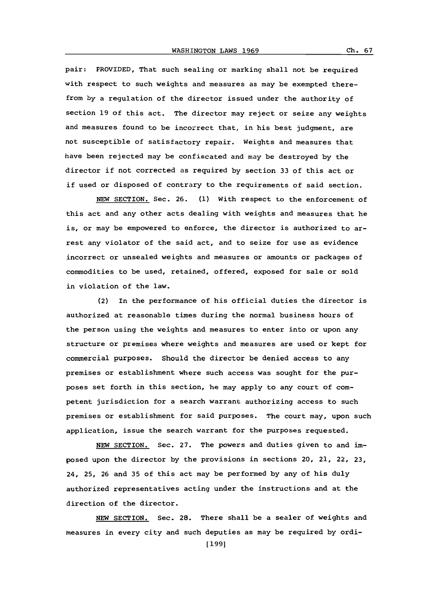pair: PROVIDED, That such sealing or marking shall not be required with respect to such weights and measures as may be exempted therefrom **by** a regulation of the director issued under the authority of section **19** of this act. The director may reject or seize any weights and measures found to be incorrect that, in his best judgment, are not susceptible of satisfactory repair. Weights and measures that have been rejected may be confiscated and may be destroyed **by** the director if not corrected as required **by** section **33** of this act or if used or disposed of contrary to the requirements of said section.

**NEW** SECTION. Sec. **26. (1)** With respect to the enforcement of this act and any other acts dealing with weights and measures that he is, or may be empowered to enforce, the director is authorized to arrest any violator of the said act, and to seize for use as evidence incorrect or unsealed weights and measures or amounts or packages of commodities to be used, retained, offered, exposed for sale or sold in violation of the law.

(2) In the performance of his official duties the director is authorized at reasonable times during the normal business hours of the person using the weights and measures to enter into or upon any structure or premises where weights and measures are used or kept for commercial purposes. Should the director be denied access to any premises or establishment where such access was sought for the purposes set forth in this section, he may apply to any court of competent jurisdiction for a search warrant authorizing access to such premises or establishment for said purposes. The court may, upon such application, issue the search warrant for the purposes requested.

**NEW** SECTION. Sec. **27.** The powers and duties given to and imposed upon the director **by** the provisions in sections 20, 21, 22, **23,** 24, **25, 26** and **35** of this act may be performed **by** any of his duly authorized representatives acting under the instructions and at the direction of the director.

**NEW** SECTION. Sec. 28. There shall be a sealer of weights and mneasures in every city and such deputies as may be required **by** ordi-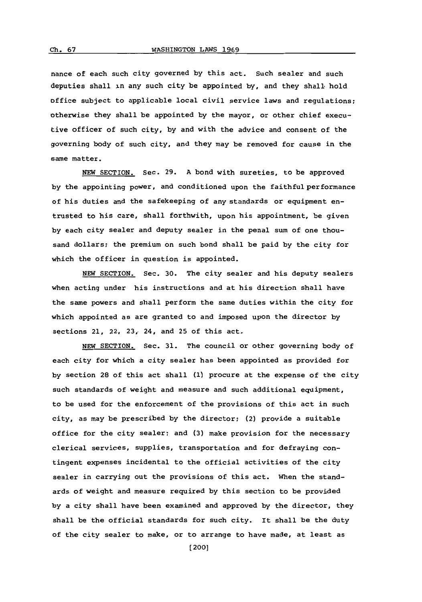nance of each such city governed **by** this act. Such sealer and such deputies shall in any such city be appointed **by,** and they shall hold office subject to applicable local civil service laws and regulations; otherwise they shall be appointed **by** the mayor, or other chief executive officer of such city, **by** and with the advice and consent of the governing body of such city, and they may be removed for cause in the same matter.

**NEW** SECTION. Sec. **29. A** bond with sureties, to be approved **by** the appointing power, and conditioned upon the faithful performance of his duties and the safekeeping of any standards or equipment entrusted to his care, shall forthwith, upon his appointment, be given **by** each city sealer and deputy sealer in the penal sum of one thousand dollars; the premium on such bond shall be paid **by** the city for which the officer in question is appointed.

**NEW** SECTION. Sec. **30.** The city sealer and his deputy sealers when acting under his instructions and at his direction shall have the same powers and shall perform the same duties within the city for which appointed as are granted to and imposed upon the director **by** sections 21, 22, **23,** 24, and **25** of this act.

**NEW SECTION.** Sec. **31.** The council or other governing body of each city for which a city sealer has been appointed as provided for **by** section 28 of this act shall **(1)** procure at the expense of the city such standards of weight and measure and such additional equipment, to be used for the enforcement of the provisions of this act in such city, as may be prescribed **by** the director; (2) provide a suitable office for the city sealer; and **(3)** make provision for the necessary clerical services, supplies, transportation and for defraying contingent expenses incidental to the official activities of the city sealer in carrying out the provisions of this act. When the standards of weight and measure required **by** this section to be provided **by** a city shall have been examined and approved **by** the director, they shall be the official standards for such city. It shall be the duty of the city sealer to make, or to arrange to have made, at least as

(200]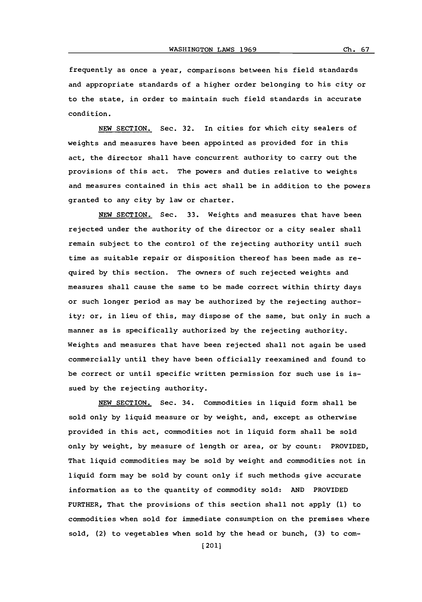frequently as once a year. comparisons between his field standards and appropriate standards of a higher order belonging to his city or to the state, in order to maintain such field standards in accurate condition.

**NEW** SECTION. Sec. **32.** In cities for which city sealers of weights and measures have been appointed as provided for in this act, the director shall have concurrent authority to carry out the provisions of this act. The powers and duties relative to weights and measures contained in this act shall be in addition to the powers granted to any city **by** law or charter.

**NEW** SECTION. Sec. **33.** Weights and measures that have been rejected under the authority of the director or a city sealer shall remain subject to the control of the rejecting authority until such time as suitable repair or disposition thereof has been made as required **by** this section. The owners of such rejected weights and measures shall cause the same to be made correct within thirty days or such longer period as may be authorized **by** the rejecting authority; or, in lieu of this, may dispose of the same, but only in such a manner as is specifically authorized **by** the rejecting authority. Weights and measures that have been rejected shall not again be used commercially until they have been officially reexamined and found to be correct or until specific written permission for such use is issued **by** the rejecting authority.

**NEW** SECTION. Sec. 34. Commodities in liquid form shall be sold only **by** liquid measure or **by** weight, and, except as otherwise provided in this act, commodities not in liquid form shall be sold only **by** weight, **by** measure of length or area, or **by** count: PROVIDED, That liquid commodities may be sold **by** weight and commodities not in liquid form may be sold **by** count only if such methods give accurate information as to the quantity of commodity sold: **AND** PROVIDED FURTHER, That the provisions of this section shall not apply **(1)** to commodities when sold for immediate consumption on the premises where sold, (2) to vegetables when sold **by** the head or bunch, **(3)** to com-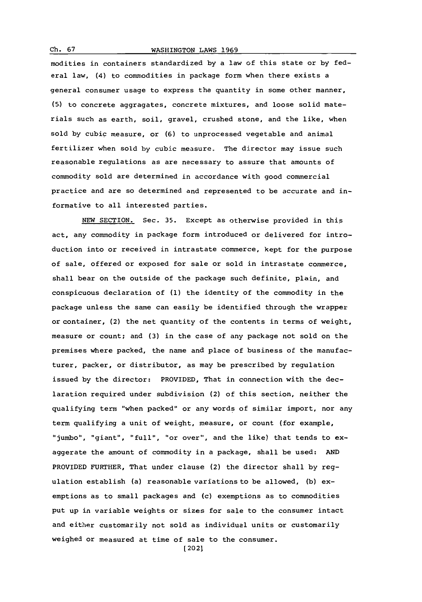## **Ch. 67** WASHINGTON LAWS **1969**

modities in containers standardized **by** a law of this state or **by** federal law, (4) to commodities in package form when there exists a general consumer usage to express the quantity in some other manner, **(5.)** to concrete aggragates, concrete mixtures, and loose solid materials such as earth, soil, gravel, crushed stone, and the like, when sold **by** cubic measure, or **(6)** to unprocessed vegetable and animal fertilizer when sold **by** cubic measure. The director may issue such reasonable regulations as are necessary to assure that amounts of commodity sold are determined in accordance with good commercial practice and are so determined and represented to be accurate and informative to all interested parties.

**NEW** SECTION. Sec. **35.** Except as otherwise provided in this act, any commodity in package form introduced or delivered for introduction into or received in intrastate commerce, kept for the purpose of sale, offered or exposed for sale or sold in intrastate commerce, shall bear on the outside of the package such definite, plain, and conspicuous declaration of **(1)** the identity of the commodity in the package unless the same can easily be identified through the wrapper or container, (2) the net quantity of the contents in terms of weight, measure or count; and **(3)** in the case of any package not sold on the premises where packed, the name and place of business of the manufacturer, packer, or distributor, as may be prescribed **by** regulation issued **by** the director: PROVIDED, That in connection with the declaration required under subdivision (2) of this section, neither the qualifying term "when packed" or any words of similar import, nor any term qualifying a unit of weight, measure, or count (for example, "jumbo", "giant", "full", "or over", and the like) that tends to exaggerate the amount of commodity in a package, shall be used: **AND** PROVIDED FURTHER, That under clause (2) the director shall **by** regulation establish (a) reasonable variations to be allowed, (b) exemptions as to small packages and (c) exemptions as to commodities put up in variable weights or sizes for sale to the consumer intact and either customarily not sold as individual units or customarily weighed or measured at time of sale to the consumer. [2021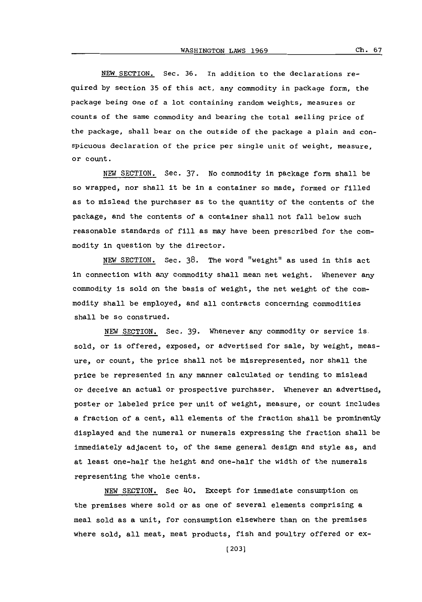**NEW** SECTION. Sec. **36.** In addition to the declarations required **by** section **35** of this act, any commodity in package form, the package being one of a lot containing random weights, measures or counts of the same commodity and bearing the total selling price of the package, shall bear on the outside of the package a plain and conspicuous declaration of the price per single unit of weight, measure, or count.

**NEW** SECTION. Sec. **37.** No commodity in package form shall be so wrapped, nor shall it be in a container so made, formed or filled as to mislead the purchaser as to the quantity of the contents of the package, and the contents of a container shall not fall below such reasonable standards of fill as may have been prescribed for the commodity in question **by** the director.

**NEW** SECTION. Sec. **38.** The word "weight" as used in this act in connection with any commodity shall mean net weight. Whenever any commodity is sold on the basis of weight, the net weight of the commodity shall be employed, and all contracts concerning commodities shall be so construed.

NEW SECTION. Sec. **39.** Whenever any commodity or service issold, or is offered, exposed, or advertised for sale, **by** weight, measure, or count, the price shall not be misrepresented, nor shall the price be represented in any manner calculated or tending to mislead or deceive an actual or prospective purchaser. Whenever an advertised, poster or labeled price per unit of weight, measure, or count includes a fraction of a cent, all elements of the fraction shall be prominently displayed and the numeral or numerals expressing the fraction shall be immediately adjacent to, of the same general design and style as, and at least one-half the height and one-half the width of the numerals representing the whole cents.

**NEW** SECTION. Sec 40. Except for immediate consumption on the premises where sold or as one of several elements comprising a meal sold as a unit, for consumption elsewhere than on the premises where sold, all meat, meat products, fish and poultry offered or ex-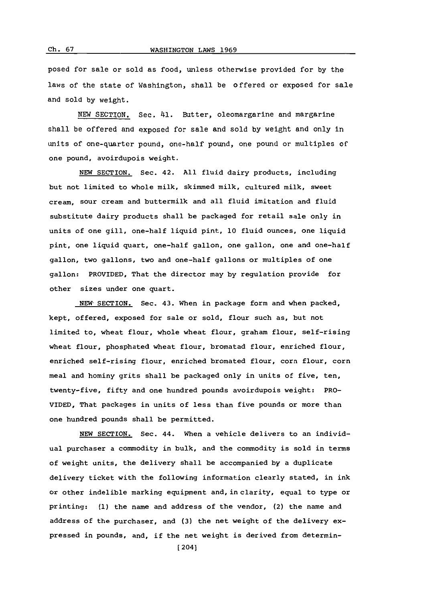## C. 67WASHINGTON LAWS **1969**

posed for sale or sold as food, unless otherwise provided for **by** the laws of the state of Washington, shall be offered or exposed for sale and sold **by** weight.

NEW SECTION. Sec. 41. Butter, oleomargarine and margarine shall be offered and exposed for sale and sold **by** weight and only in units of one-quarter pound, one-half pound, one pound or multiples of one pound, avoirdupois weight.

**NEW** SECTION. Sec. 42. **All** fluid dairy products, including but not limited to whole milk, skimmed milk, cultured milk, sweet cream, sour cream and buttermilk and all fluid imitation and fluid substitute dairy products shall be packaged for retail sale only in units of one gill, one-half liquid pint, **10** fluid ounces, one liquid pint, one liquid quart. one-half gallon, one gallon, one and one-half gallon, two gallons, two and one-half gallons or multiples of one gallon: PROVIDED, That the director may **by** regulation provide for other sizes under one quart.

**NEW-SECTION.** Sec. 43. When in package form and when packed, kept, offered, exposed for sale or sold, flour such as, but not limited to, wheat flour, whole wheat flour, graham flour, self-rising wheat flour, phosphated wheat flour, bromatad flour, enriched flour, enriched self-rising flour, enriched bromated flour, corn flour, corn meal and hominy grits shall be packaged only in units of five, ten, twenty-five, fifty and one hundred pounds avoirdupois weight: PRO-VIDED, That packages in units of less than five pounds or more than one hundred pounds shall be permitted.

**NEW** SECTION. Sec. 44. When a vehicle delivers to an individual purchaser a commodity in bulk, and the commodity is sold in terms of weight units, the delivery shall be accompanied **by** a duplicate delivery ticket with the following information clearly stated, in ink or other indelible marking equipment and, in clarity, equal to type or printing: **(1)** the name and address of the vendor, (2) the name and address of the purchaser, and **(3)** the net weight of the delivery **ex**pressed in pounds, and, if the net weight is derived from determin-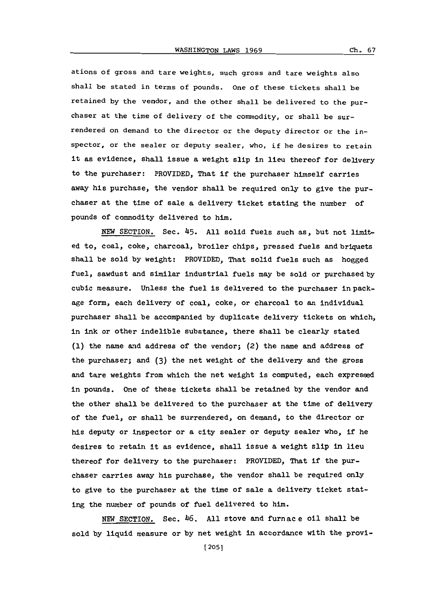ations of gross and tare weights, such gross and tare weights also shall be stated in terms of pounds. One of these tickets shall be retained **by** the vendor, and the other shall be delivered to the purchaser at the time of delivery of the commodity, or shall be surrendered on demand to the director or the deputy director or the inspector, or the sealer or deputy sealer, who, if he desires to retain it as evidence, shall issue a weight slip in lieu thereof for delivery to the purchaser: PROVIDED, That if the purchaser himself carries away his purchase, the vendor shall be required only to give the pur-

chaser at the time of sale a delivery ticket stating the number of

pounds of commodity delivered to him.

*NEW* SECTION. Sec. 45. **All** solid fuels such as, but not limited to, coal, coke, charcoal, broiler chips, pressed fuels and briquets shall be sold **by** weight: PROVIDED, That solid fuels such as hogged fuel, sawdust and similar industrial fuels may be sold or purchased by cubic measure. Unless the fuel is delivered to the purchaser in package form, each delivery of coal, coke, or charcoal to an individual purchaser shall be accompanied **by** duplicate delivery tickets on which, in ink or other indelible substance, there shall be clearly stated **(1)** the name and address of the vendor; (2) the name and address of the purchaser; and **(3)** the net weight of the delivery and the gross and tare weights from which the net weight is computed, each expressed in pounds. One of these tickets shall be retained **by** the vendor and the other shall be delivered to the purchaser at the time of delivery of the fuel, or shall be surrendered, on demand, to the director or his deputy or inspector or a city sealer or deputy sealer who, if he desires to retain it as evidence, shall issue a weight slip in lieu thereof for delivery to the purchaser: PROVIDED, That if the purchaser carries away his purchase, the vendor shall be required only to give to the purchaser at the time of sale a delivery ticket stating the number of pounds of fuel delivered to him.

NEW SECTION. Sec. 46. **All** stove and furnac e oil shall be sold **by** liquid measure or **by** net weight in accordance with the provi-

**[205]**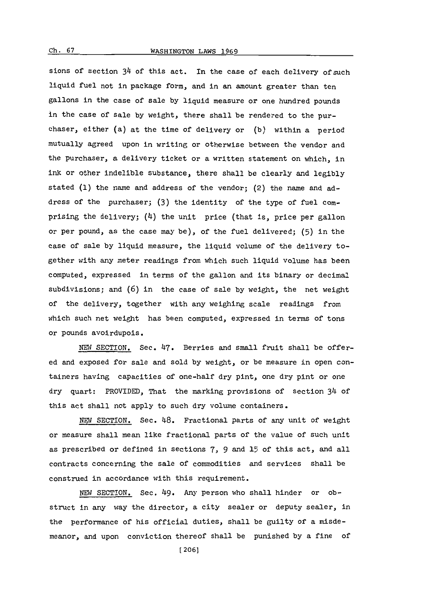## C. **67WASHINGTON LAWS 1969**

sions of section 34 of this act. In the case of each delivery of such liquid fuel not in package form, and in an amount greater than ten gallons in the case of sale **by** liquid measure or one hundred pounds in the case **of** sale **by** weight, there shall be rendered to the purchaser, either (a) at the time of delivery or **(b)** within a period mutually agreed upon in writing or otherwise between the vendor and the purchaser, a delivery ticket or a written statement on which, in ink or other indelible substance, there shall be clearly and legibly stated **(1)** the name and address of the vendor; (2) the name and address of the purchaser; **(3)** the identity of the type of fuel comprising the delivery;  $(4)$  the unit price (that is, price per gallon or per pound, as the case may be), of the fuel delivered; **(5)** in the case of sale **by** liquid measure, the liquid volume of the delivery together with any meter readings from which such liquid volume has been computed, expressed in terms of the gallon and its binary or decimal subdivisions; and **(6)** in the case of sale **by** weight, the net weight of the delivery, together with any weighing scale readings from which such net weight has been computed, expressed in terms of tons or pounds avoirdupois.

**NEW** SECTION. Sec. 47'. Berries and small fruit shall be offered and exposed for sale and sold **by** weight, or be measure in open containers having capacities of one-half dry pint, one dry pint or one dry quart: PROVIDED, That the marking provisions of section 34 of this act shall not apply to such dry volume containers.

NEW SECTION. Sec. 48. Fractional parts of any unit of weight or measure shall mean like fractional parts of the value of such unit as prescribed or defined in sections **7', 9** and **15** of this act, and all contracts concerning the sale of commodities and services shall be construed in accordance with this requirement.

**NEW SECTION.** Sec. 49. Any person who shall hinder or obstruct in any way the director, a city sealer or deputy sealer, in the performance of his official duties, shall be guilty of a misdemeanor, and upon conviction thereof shall be punished **by** a fine of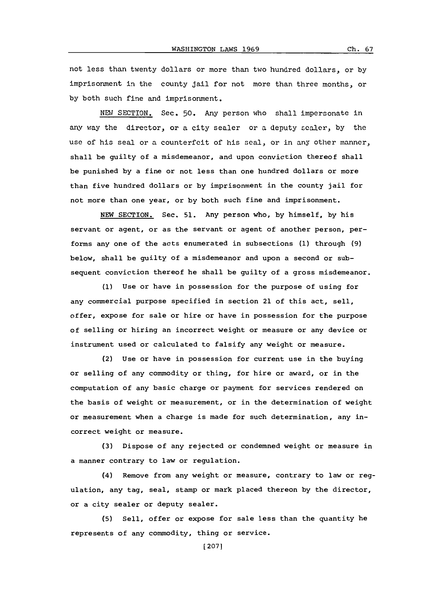not less than twenty dollars or more than two hundred dollars, or **by** imprisonment in the county jail for not more than three months, or **by** both such fine and imprisonment.

**NEW** SECTION. Sec. **50.** Any person who shall impersonate in any way the director, or a city sealer or a deputy scaler, **by** the use of his seal or a counterfeit of his seal, or in any other manner, shall be guilty of a misdemeanor, and upon conviction thereof shall be punished **by** a fine or not less than one hundred dollars or more than five hundred dollars or **by** imprisonment in the county jail for not more than one year, or **by** both such fine and imprisonment.

**NEW** SECTION. Sec. **51.** Any person who, **by** himself, **by** his servant or agent, or as the servant or agent of another person, performs any one of the acts enumerated in subsections **(1)** through **(9)** below, shall be guilty of a misdemeanor and upon a second or subsequent conviction thereof he shall be guilty of a gross misdemeanor.

**(1)** Use or have in possession for the purpose of using for any commercial purpose specified in section 21 of this act, sell, offer, expose for sale or hire or have in possession for the purpose of selling or hiring an incorrect weight or measure or any device or instrument used or calculated to falsify any weight or measure.

(2) Use or have in possession for current use in the buying or selling of any commodity or thing, for hire or award, or in the computation of any basic charge or payment for services rendered on the basis of weight or measurement, or in the determination of weight or measurement when a charge is made for such determination, any incorrect weight or measure.

**(3)** Dispose of any rejected or condemned weight or measure in a manner contrary to law or regulation.

(4) Remove from any weight or measure, contrary to law or regulation, any tag, seal, stamp or mark placed thereon **by** the director, or a city sealer or deputy sealer.

**(5)** Sell, offer or expose for sale less than the quantity he represents of any commodity, thing or service.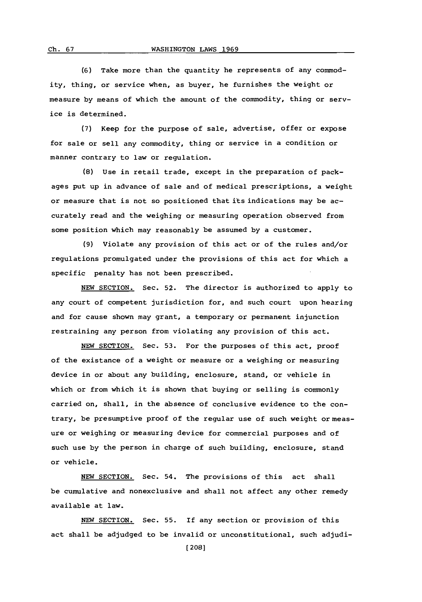**(6)** Take more than the quantity he represents of any commodity, thing, or service when, as buyer, he furnishes the weight or measure **by** means of which the amount of the commodity, thing or service is determined.

**(7)** Keep for the purpose of sale, advertise, offer or expose for sale or sell any commodity, thing or service in a condition or manner contrary to law or regulation.

**(8)** Use in retail trade, except in the preparation of packages put up in advance of sale and of medical prescriptions, a weight or measure that is not so positioned that its indications may be accurately read and the weighing or measuring operation observed from some position which may reasonably be assumed **by** a customer.

**(9)** Violate any provision of this act or of the rules and/or regulations promulgated under the provisions of this act for which a specific penalty has not been prescribed.

**NEW** SECTION. Sec. **52.** The director is authorized to apply to any court of competent jurisdiction for, and such court upon hearing and for cause shown may grant, a temporary or permanent injunction restraining any person from violating any provision of this act.

**NEW** SECTION. Sec. **53.** For the purposes of this act, proof of the existance of a weight or measure or a weighing or measuring device in or about any building, enclosure, stand, or vehicle in which or from which it is shown that buying or selling is commonly carried on, shall, in the absence of conclusive evidence to the contrary, be presumptive proof of the regular use of such weight or measure or weighing or measuring device for commercial purposes and of such use **by** the person in charge of such building, enclosure, stand or vehicle.

**NEW** SECTION. Sec. 54. The provisions of this act shall be cumulative and nonexclusive and shall not affect any other remedy available at law.

**NEW** SECTION. Sec. **55.** If any section or provision of this act shall be adjudged to be invalid or unconstitutional, such adjudi-

Ch. 67